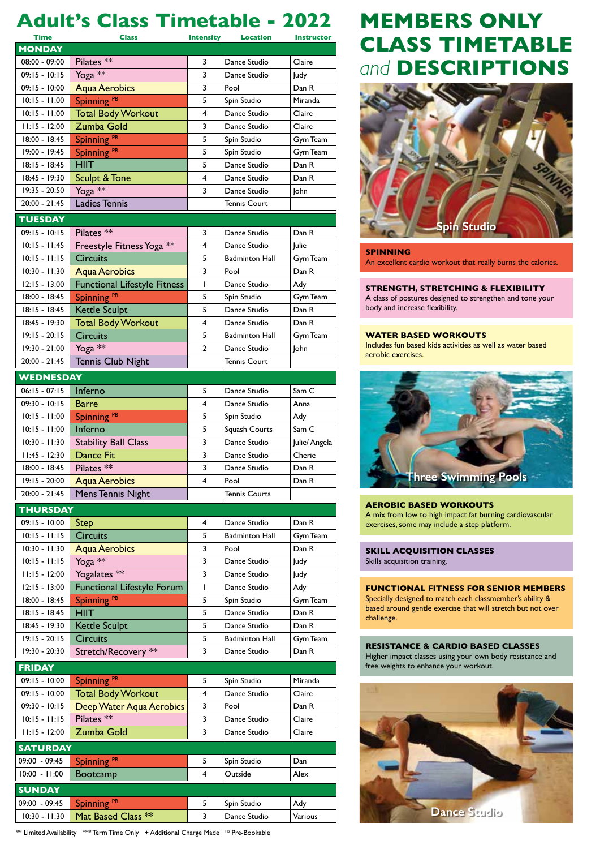## **Adult's Class Timetable - 2022** 10.15 – 11.000 – 11.000.000 – 11.000 – 11.000 – 11.000 – 11.000 – 11.000 – 11.000 – 11.000 – 11.000 – 11.000 –<br>Digital Miranda Miranda Miranda Miranda Miranda Miranda Miranda Miranda Miranda Miranda Miranda Miranda Mirand

| <b>Time</b>      | <b>Class</b>                        | <b>Intensity</b> | <b>Location</b>       | <b>Instructor</b> |  |
|------------------|-------------------------------------|------------------|-----------------------|-------------------|--|
| <b>MONDAY</b>    |                                     |                  |                       |                   |  |
| 08:00 - 09:00    | Pilates <sup>**</sup>               | 3                | Dance Studio          | Claire            |  |
| $09:15 - 10:15$  | Yoga **                             | 3                | Dance Studio          | Judy              |  |
| $09:15 - 10:00$  | <b>Aqua Aerobics</b>                | 3                | Pool                  | Dan R             |  |
| $10:15 - 11:00$  | Spinning <sup>PB</sup>              | 5                | Spin Studio           | Miranda           |  |
| $10:15 - 11:00$  | <b>Total Body Workout</b>           | 4                | Dance Studio          | Claire            |  |
| $11:15 - 12:00$  | Zumba Gold                          | 3                | Dance Studio          | Claire            |  |
| 18:00 - 18:45    | Spinning <sup>PB</sup>              | 5                | Spin Studio           | Gym Team          |  |
| 19:00 - 19:45    | Spinning <sup>PB</sup>              | 5                | Spin Studio           | Gym Team          |  |
| 18:15 - 18:45    | HIIT                                | 5                | Dance Studio          | Dan R             |  |
| 18:45 - 19:30    | Sculpt & Tone                       | 4                | Dance Studio          | Dan R             |  |
| 19:35 - 20:50    | Yoga **                             | 3                | Dance Studio          | John              |  |
| 20:00 - 21:45    | <b>Ladies Tennis</b>                |                  | <b>Tennis Court</b>   |                   |  |
| <b>TUESDAY</b>   |                                     |                  |                       |                   |  |
| $09:15 - 10:15$  | Pilates <sup>**</sup>               | 3                | Dance Studio          | Dan R             |  |
| $10:15 - 11:45$  | Freestyle Fitness Yoga **           | 4                | Dance Studio          | Julie             |  |
| $10:15 - 11:15$  | <b>Circuits</b>                     | 5                | <b>Badminton Hall</b> | Gym Team          |  |
| $10:30 - 11:30$  | <b>Aqua Aerobics</b>                | 3                | Pool                  | Dan R             |  |
| $12:15 - 13:00$  | <b>Functional Lifestyle Fitness</b> | T                | Dance Studio          | Ady               |  |
| 18:00 - 18:45    | Spinning <sup>PB</sup>              | 5                | Spin Studio           | Gym Team          |  |
| $18:15 - 18:45$  | Kettle Sculpt                       | 5                | Dance Studio          | Dan R             |  |
| 18:45 - 19:30    | <b>Total Body Workout</b>           | 4                | Dance Studio          | Dan R             |  |
| $19:15 - 20:15$  | <b>Circuits</b>                     | 5                | <b>Badminton Hall</b> | Gym Team          |  |
| 19:30 - 21:00    | Yoga **                             | $\mathbf{2}$     | Dance Studio          | John              |  |
| $20:00 - 21:45$  | Tennis Club Night                   |                  | <b>Tennis Court</b>   |                   |  |
| <b>WEDNESDAY</b> |                                     |                  |                       |                   |  |
| $06:15 - 07:15$  | Inferno                             | 5                | Dance Studio          | Sam C             |  |
| $09:30 - 10:15$  | Barre                               | 4                | Dance Studio          | Anna              |  |
| $10:15 - 11:00$  | Spinning <sup>PB</sup>              | 5                | Spin Studio           | Ady               |  |
| $10:15 - 11:00$  | Inferno                             | 5                | Squash Courts         | Sam C             |  |
| $10:30 - 11:30$  | <b>Stability Ball Class</b>         | 3                | Dance Studio          | Julie/ Angela     |  |
| $11:45 - 12:30$  | Dance Fit                           | 3                | Dance Studio          | Cherie            |  |
| 18:00 - 18:45    | Pilates <sup>**</sup>               | 3                | Dance Studio          | Dan R             |  |
| 19:15 - 20:00    | <b>Aqua Aerobics</b>                | 4                | Pool                  | Dan R             |  |
| 20:00 - 21:45    | Mens Tennis Night                   |                  | <b>Tennis Courts</b>  |                   |  |
| <b>THURSDAY</b>  |                                     |                  |                       |                   |  |
| $09:15 - 10:00$  | <b>Step</b>                         | 4                | Dance Studio          | Dan R             |  |
| $10:15 - 11:15$  | <b>Circuits</b>                     | 5                | <b>Badminton Hall</b> | Gym Team          |  |
| $10:30 - 11:30$  | <b>Aqua Aerobics</b>                | 3                | Pool                  | Dan R             |  |
| $10:15 - 11:15$  | Yoga **                             | 3                | Dance Studio          | <b>Judy</b>       |  |
| $11:15 - 12:00$  | Yogalates **                        | 3                | Dance Studio          | Judy              |  |
| $12:15 - 13:00$  | Functional Lifestyle Forum          | L                | Dance Studio          | Ady               |  |
| 18:00 - 18:45    | Spinning <sup>PB</sup>              | 5                | Spin Studio           | Gym Team          |  |
| 18:15 - 18:45    | <b>HIIT</b>                         | 5                | Dance Studio          | Dan R             |  |
| 18:45 - 19:30    | <b>Kettle Sculpt</b>                | 5                | Dance Studio          | Dan R             |  |
| $19:15 - 20:15$  | <b>Circuits</b>                     | 5                | <b>Badminton Hall</b> | Gym Team          |  |
| 19:30 - 20:30    | Stretch/Recovery **                 | 3                | Dance Studio          | Dan R             |  |
| <b>FRIDAY</b>    |                                     |                  |                       |                   |  |
| $09:15 - 10:00$  | Spinning <sup>PB</sup>              | 5                | Spin Studio           | Miranda           |  |
| 09:15 - 10:00    | <b>Total Body Workout</b>           | 4                | Dance Studio          | Claire            |  |
| 09:30 - 10:15    | Deep Water Aqua Aerobics            | 3                | Pool                  | Dan R             |  |
| $10:15 - 11:15$  | Pilates <sup>**</sup>               | 3                | Dance Studio          | Claire            |  |
| $11:15 - 12:00$  | Zumba Gold                          | 3                | Dance Studio          | Claire            |  |
| <b>SATURDAY</b>  |                                     |                  |                       |                   |  |
| 09:00 - 09:45    | Spinning <sup>PB</sup>              | 5                | Spin Studio           | Dan               |  |
| $10:00 - 11:00$  | <b>Bootcamp</b>                     | 4                | Outside               | Alex              |  |
| <b>SUNDAY</b>    |                                     |                  |                       |                   |  |
| 09:00 - 09:45    | Spinning <sup>PB</sup>              | 5                | Spin Studio           | Ady               |  |
| $10:30 - 11:30$  | Mat Based Class **                  | 3                | Dance Studio          | Various           |  |
|                  |                                     |                  |                       |                   |  |

 $^{**}$  Limited Availability  $^{***}$  Term Time Only  $^{-+}$  Additional Charge Made  $^{-\textit{PB}}$  Pre-Bookable

## **MEMBERS ONLY CLASS TIMETABLE**  *and* **DESCRIPTIONS MEMBERS ONLY CLASS TIMETABLE**  *and* **DESCRIPTIONS MEMBERS ONLY**



## **SPINNING**

An excellent cardio workout that really burns the calories. An excellent cardio workout that really burns the calories.

### **MASTERS SWIM SET STRENGTH, STRETCHING & FLEXIBILITY**

**A** class of postures designed to strengthen and tone your body and increase flexibility.

## **STREET BASED WORKOUTS**

**SPILER BASED WORKOOTS**<br>Includes fun based kids activities as well as water based aerobic exercises. Includes fun based kids activities as well as water based



### **FUNCTIONAL FIRMS FOR SENIOR MEMBERS**

A mix from low to high impact fat burning cardiovascular exercises, some may include a step platform. based around gentle exercise that will stretch but not over exercises, some may include a step platform.  $\mathcal{H}_{\text{H}}$  is a constraint of the constraint  $\mathcal{H}_{\text{H}}$  is a constraint of the constraint  $\mathcal{H}_{\text{H}}$ 

#### **SKILL ACQUISITION CLASSES Skills acquisition training. RESISTANCE BASES** free weights to enhance your workout.

Higher impact classes using your own body resistance and **EXERCISE FOR HEALTH AND SERVICES** 

#### **FUNCTIONAL FITNESS FOR SENIOR MEMBERS** FUNCTIONAL FITNESS FOR SENIOR MEMBERS

**Exercise For Health Lines for Health and Transferression from the Exercise on Prescription scheme.** FUNCTIUNAL FITNESS FOR SENIUR MEMBR<br>Specially designed to match each classmember's ability & based around gentle exercise that will stretch but not over Continued supervision and support, in a group environment.

## Progression from the Exercise on Prescription scheme. **RESISTANCE & CARDIO BASED CLASSES**

**RESISTANCE & CARDIO BASED CLASSES**

Higher impact classes using your own body resistance and free weights to enhance your workout.